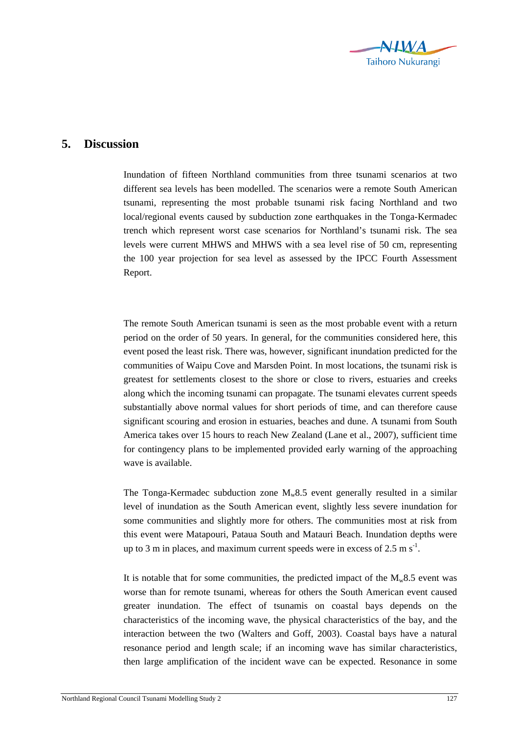

## **5. Discussion**

Inundation of fifteen Northland communities from three tsunami scenarios at two different sea levels has been modelled. The scenarios were a remote South American tsunami, representing the most probable tsunami risk facing Northland and two local/regional events caused by subduction zone earthquakes in the Tonga-Kermadec trench which represent worst case scenarios for Northland's tsunami risk. The sea levels were current MHWS and MHWS with a sea level rise of 50 cm, representing the 100 year projection for sea level as assessed by the IPCC Fourth Assessment Report.

The remote South American tsunami is seen as the most probable event with a return period on the order of 50 years. In general, for the communities considered here, this event posed the least risk. There was, however, significant inundation predicted for the communities of Waipu Cove and Marsden Point. In most locations, the tsunami risk is greatest for settlements closest to the shore or close to rivers, estuaries and creeks along which the incoming tsunami can propagate. The tsunami elevates current speeds substantially above normal values for short periods of time, and can therefore cause significant scouring and erosion in estuaries, beaches and dune. A tsunami from South America takes over 15 hours to reach New Zealand (Lane et al., 2007), sufficient time for contingency plans to be implemented provided early warning of the approaching wave is available.

The Tonga-Kermadec subduction zone  $M_w 8.5$  event generally resulted in a similar level of inundation as the South American event, slightly less severe inundation for some communities and slightly more for others. The communities most at risk from this event were Matapouri, Pataua South and Matauri Beach. Inundation depths were up to 3 m in places, and maximum current speeds were in excess of  $2.5 \text{ m s}^{-1}$ .

It is notable that for some communities, the predicted impact of the  $M_{w}8.5$  event was worse than for remote tsunami, whereas for others the South American event caused greater inundation. The effect of tsunamis on coastal bays depends on the characteristics of the incoming wave, the physical characteristics of the bay, and the interaction between the two (Walters and Goff, 2003). Coastal bays have a natural resonance period and length scale; if an incoming wave has similar characteristics, then large amplification of the incident wave can be expected. Resonance in some